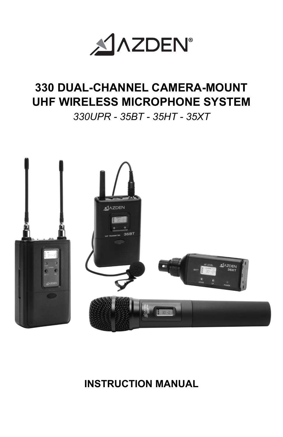

# **330 DUAL-CHANNEL CAMERA-MOUNT UHF WIRELESS MICROPHONE SYSTEM**

## *330UPR - 35BT - 35HT - 35XT*



## **INSTRUCTION MANUAL**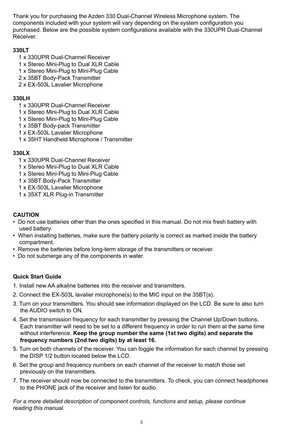Thank you for purchasing the Azden 330 Dual-Channel Wireless Microphone system. The components included with your system will vary depending on the system configuration you purchased. Below are the possible system configurations available with the 330UPR Dual-Channel Receiver.

#### **330LT**

- 1 x 330UPR Dual-Channel Receiver
- 1 x Stereo Mini-Plug to Dual XLR Cable
- 1 x Stereo Mini-Plug to Mini-Plug Cable
- 2 x 35BT Body-Pack Transmitter
- 2 x EX-503L Lavalier Microphone

#### **330LH**

- 1 x 330UPR Dual-Channel Receiver
- 1 x Stereo Mini-Plug to Dual XLR Cable
- 1 x Stereo Mini-Plug to Mini-Plug Cable
- 1 x 35BT Body-pack Transmitter
- 1 x EX-503L Lavalier Microphone
- 1 x 35HT Handheld Microphone / Transmitter

### **330LX**

- 1 x 330UPR Dual-Channel Receiver
- 1 x Stereo Mini-Plug to Dual XLR Cable
- 1 x Stereo Mini-Plug to Mini-Plug Cable
- 1 x 35BT Body-Pack Transmitter
- 1 x EX-503L Lavalier Microphone
- 1 x 35XT XLR Plug-in Transmitter

#### **CAUTION**

- Do not use batteries other than the ones specified in this manual. Do not mix fresh battery with used battery.
- When installing batteries, make sure the battery polarity is correct as marked inside the battery compartment.
- Remove the batteries before long-term storage of the transmitters or receiver.
- Do not submerge any of the components in water.

### **Quick Start Guide**

- 1. Install new AA alkaline batteries into the receiver and transmitters.
- 2. Connect the EX-503L lavalier microphone(s) to the MIC input on the 35BT(s).
- 3. Turn on your transmitters. You should see information displayed on the LCD. Be sure to also turn the AUDIO switch to ON.
- 4. Set the transmission frequency for each transmitter by pressing the Channel Up/Down buttons. Each transmitter will need to be set to a different frequency in order to run them at the same time without interference. **Keep the group number the same (1st two digits) and separate the frequency numbers (2nd two digits) by at least 16.**
- 5. Turn on both channels of the receiver. You can toggle the information for each channel by pressing the DISP 1/2 button located below the LCD.
- 6. Set the group and frequency numbers on each channel of the receiver to match those set previously on the transmitters.
- 7. The receiver should now be connected to the transmitters. To check, you can connect headphones to the PHONE jack of the receiver and listen for audio.

*For a more detailed description of component controls, functions and setup, please continue reading this manual.*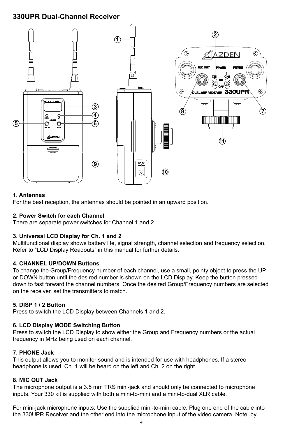## **330UPR Dual-Channel Receiver**



#### **1. Antennas**

For the best reception, the antennas should be pointed in an upward position.

#### **2. Power Switch for each Channel**

There are separate power switches for Channel 1 and 2.

#### **3. Universal LCD Display for Ch. 1 and 2**

Multifunctional display shows battery life, signal strength, channel selection and frequency selection. Refer to "LCD Display Readouts" in this manual for further details.

#### **4. CHANNEL UP/DOWN Buttons**

To change the Group/Frequency number of each channel, use a small, pointy object to press the UP or DOWN button until the desired number is shown on the LCD Display. Keep the button pressed down to fast forward the channel numbers. Once the desired Group/Frequency numbers are selected on the receiver, set the transmitters to match.

#### **5. DISP 1 / 2 Button**

Press to switch the LCD Display between Channels 1 and 2.

#### **6. LCD Display MODE Switching Button**

Press to switch the LCD Display to show either the Group and Frequency numbers or the actual frequency in MHz being used on each channel.

#### **7. PHONE Jack**

This output allows you to monitor sound and is intended for use with headphones. If a stereo headphone is used, Ch. 1 will be heard on the left and Ch. 2 on the right.

#### **8. MIC OUT Jack**

The microphone output is a 3.5 mm TRS mini-jack and should only be connected to microphone inputs. Your 330 kit is supplied with both a mini-to-mini and a mini-to-dual XLR cable.

For mini-jack microphone inputs: Use the supplied mini-to-mini cable. Plug one end of the cable into the 330UPR Receiver and the other end into the microphone input of the video camera. Note: by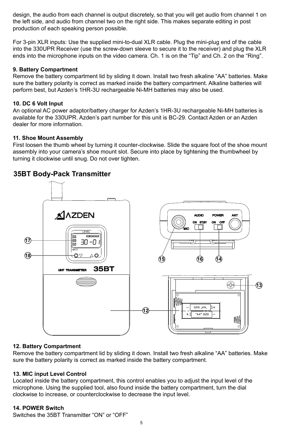design, the audio from each channel is output discretely, so that you will get audio from channel 1 on the left side, and audio from channel two on the right side. This makes separate editing in post production of each speaking person possible.

For 3-pin XLR inputs: Use the supplied mini-to-dual XLR cable. Plug the mini-plug end of the cable into the 330UPR Receiver (use the screw-down sleeve to secure it to the receiver) and plug the XLR ends into the microphone inputs on the video camera. Ch. 1 is on the "Tip" and Ch. 2 on the "Ring".

#### **9. Battery Compartment**

Remove the battery compartment lid by sliding it down. Install two fresh alkaline "AA" batteries. Make sure the battery polarity is correct as marked inside the battery compartment. Alkaline batteries will perform best, but Azden's 1HR-3U rechargeable Ni-MH batteries may also be used.

#### **10. DC 6 Volt Input**

An optional AC power adaptor/battery charger for Azden's 1HR-3U rechargeable Ni-MH batteries is available for the 330UPR. Azden's part number for this unit is BC-29. Contact Azden or an Azden dealer for more information.

#### **11. Shoe Mount Assembly**

First loosen the thumb wheel by turning it counter-clockwise. Slide the square foot of the shoe mount assembly into your camera's shoe mount slot. Secure into place by tightening the thumbwheel by turning it clockwise until snug. Do not over tighten.

## **35BT Body-Pack Transmitter**



#### **12. Battery Compartment**

Remove the battery compartment lid by sliding it down. Install two fresh alkaline "AA" batteries. Make sure the battery polarity is correct as marked inside the battery compartment.

#### **13. MIC input Level Control**

Located inside the battery compartment, this control enables you to adjust the input level of the microphone. Using the supplied tool, also found inside the battery compartment, turn the dial clockwise to increase, or counterclockwise to decrease the input level.

#### **14. POWER Switch**

Switches the 35BT Transmitter "ON" or "OFF"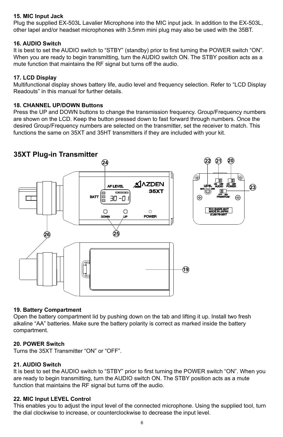#### **15. MIC Input Jack**

Plug the supplied EX-503L Lavalier Microphone into the MIC input jack. In addition to the EX-503L, other lapel and/or headset microphones with 3.5mm mini plug may also be used with the 35BT.

#### **16. AUDIO Switch**

It is best to set the AUDIO switch to "STBY" (standby) prior to first turning the POWER switch "ON". When you are ready to begin transmitting, turn the AUDIO switch ON. The STBY position acts as a mute function that maintains the RF signal but turns off the audio.

#### **17. LCD Display**

Multifunctional display shows battery life, audio level and frequency selection. Refer to "LCD Display Readouts" in this manual for further details.

#### **18. CHANNEL UP/DOWN Buttons**

Press the UP and DOWN buttons to change the transmission frequency. Group/Frequency numbers are shown on the LCD. Keep the button pressed down to fast forward through numbers. Once the desired Group/Frequency numbers are selected on the transmitter, set the receiver to match. This functions the same on 35XT and 35HT transmitters if they are included with your kit.

## **35XT Plug-in Transmitter**



#### **19. Battery Compartment**

Open the battery compartment lid by pushing down on the tab and lifting it up. Install two fresh alkaline "AA" batteries. Make sure the battery polarity is correct as marked inside the battery compartment.

#### **20. POWER Switch**

Turns the 35XT Transmitter "ON" or "OFF".

#### **21. AUDIO Switch**

It is best to set the AUDIO switch to "STBY" prior to first turning the POWER switch "ON". When you are ready to begin transmitting, turn the AUDIO switch ON. The STBY position acts as a mute function that maintains the RF signal but turns off the audio.

#### **22. MIC Input LEVEL Control**

This enables you to adjust the input level of the connected microphone. Using the supplied tool, turn the dial clockwise to increase, or counterclockwise to decrease the input level.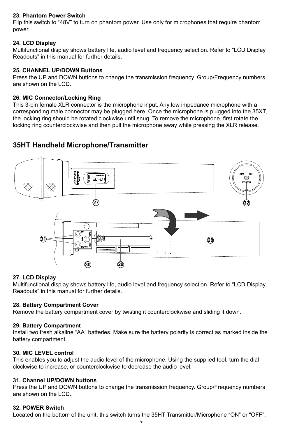#### **23. Phantom Power Switch**

Flip this switch to "48V" to turn on phantom power. Use only for microphones that require phantom power.

#### **24. LCD Display**

Multifunctional display shows battery life, audio level and frequency selection. Refer to "LCD Display Readouts" in this manual for further details.

#### **25. CHANNEL UP/DOWN Buttons**

Press the UP and DOWN buttons to change the transmission frequency. Group/Frequency numbers are shown on the LCD.

#### **26. MIC Connector/Locking Ring**

This 3-pin female XLR connector is the microphone input. Any low impedance microphone with a corresponding male connector may be plugged here. Once the microphone is plugged into the 35XT, the locking ring should be rotated clockwise until snug. To remove the microphone, first rotate the locking ring counterclockwise and then pull the microphone away while pressing the XLR release.

## **35HT Handheld Microphone/Transmitter**



#### **27. LCD Display**

Multifunctional display shows battery life, audio level and frequency selection. Refer to "LCD Display Readouts" in this manual for further details.

#### **28. Battery Compartment Cover**

Remove the battery compartment cover by twisting it counterclockwise and sliding it down.

#### **29. Battery Compartment**

Install two fresh alkaline "AA" batteries. Make sure the battery polarity is correct as marked inside the battery compartment.

#### **30. MIC LEVEL control**

This enables you to adjust the audio level of the microphone. Using the supplied tool, turn the dial clockwise to increase, or counterclockwise to decrease the audio level.

#### **31. Channel UP/DOWN buttons**

Press the UP and DOWN buttons to change the transmission frequency. Group/Frequency numbers are shown on the LCD.

#### **32. POWER Switch**

Located on the bottom of the unit, this switch turns the 35HT Transmitter/Microphone "ON" or "OFF".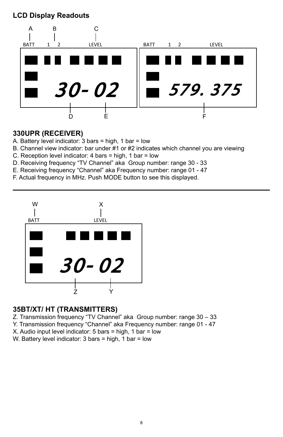**LCD Display Readouts**



## **330UPR (RECEIVER)**

- A. Battery level indicator: 3 bars = high, 1 bar = low
- B. Channel view indicator: bar under #1 or #2 indicates which channel you are viewing
- C. Reception level indicator: 4 bars = high, 1 bar = low
- D. Receiving frequency "TV Channel" aka Group number: range 30 33
- E. Receiving frequency "Channel" aka Frequency number: range 01 47
- F. Actual frequency in MHz. Push MODE button to see this displayed.



## **35BT/XT/ HT (TRANSMITTERS)**

Z. Transmission frequency "TV Channel" aka Group number: range 30 – 33

- Y. Transmission frequency "Channel" aka Frequency number: range 01 47
- X. Audio input level indicator: 5 bars = high, 1 bar = low
- W. Battery level indicator: 3 bars = high, 1 bar = low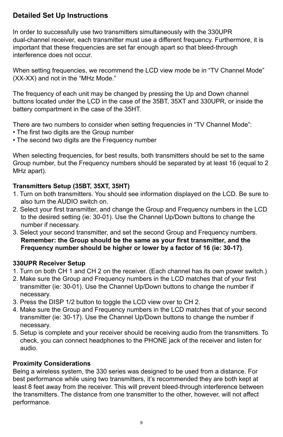## **Detailed Set Up Instructions**

In order to successfully use two transmitters simultaneously with the 330UPR dual-channel receiver, each transmitter must use a different frequency. Furthermore, it is important that these frequencies are set far enough apart so that bleed-through interference does not occur.

When setting frequencies, we recommend the LCD view mode be in "TV Channel Mode" (XX-XX) and not in the "MHz Mode."

The frequency of each unit may be changed by pressing the Up and Down channel buttons located under the LCD in the case of the 35BT, 35XT and 330UPR, or inside the battery compartment in the case of the 35HT.

There are two numbers to consider when setting frequencies in "TV Channel Mode":

- The first two digits are the Group number
- The second two digits are the Frequency number

When selecting frequencies, for best results, both transmitters should be set to the same Group number, but the Frequency numbers should be separated by at least 16 (equal to 2 MHz apart).

## **Transmitters Setup (35BT, 35XT, 35HT)**

- 1. Turn on both transmitters. You should see information displayed on the LCD. Be sure to also turn the AUDIO switch on.
- 2. Select your first transmitter, and change the Group and Frequency numbers in the LCD to the desired setting (ie: 30-01). Use the Channel Up/Down buttons to change the number if necessary.
- 3. Select your second transmitter, and set the second Group and Frequency numbers. **Remember: the Group should be the same as your first transmitter, and the Frequency number should be higher or lower by a factor of 16 (ie: 30-17)**.

## **330UPR Receiver Setup**

- 1. Turn on both CH 1 and CH 2 on the receiver. (Each channel has its own power switch.)
- 2. Make sure the Group and Frequency numbers in the LCD matches that of your first transmitter (ie: 30-01). Use the Channel Up/Down buttons to change the number if necessary.
- 3. Press the DISP 1/2 button to toggle the LCD view over to CH 2.
- 4. Make sure the Group and Frequency numbers in the LCD matches that of your second transmitter (ie: 30-17). Use the Channel Up/Down buttons to change the number if necessary.
- 5. Setup is complete and your receiver should be receiving audio from the transmitters. To check, you can connect headphones to the PHONE jack of the receiver and listen for audio.

## **Proximity Considerations**

Being a wireless system, the 330 series was designed to be used from a distance. For best performance while using two transmitters, it's recommended they are both kept at least 8 feet away from the receiver. This will prevent bleed-through interference between the transmitters. The distance from one transmitter to the other, however, will not affect performance.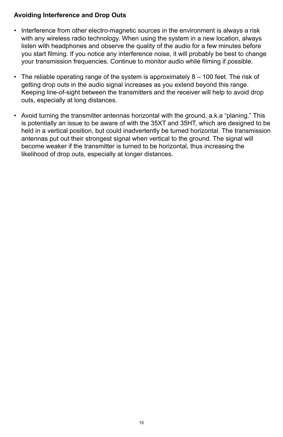## **Avoiding Interference and Drop Outs**

- Interference from other electro-magnetic sources in the environment is always a risk with any wireless radio technology. When using the system in a new location, always listen with headphones and observe the quality of the audio for a few minutes before you start filming. If you notice any interference noise, it will probably be best to change your transmission frequencies. Continue to monitor audio while filming if possible.
- The reliable operating range of the system is approximately 8 100 feet. The risk of getting drop outs in the audio signal increases as you extend beyond this range. Keeping line-of-sight between the transmitters and the receiver will help to avoid drop outs, especially at long distances.
- Avoid turning the transmitter antennas horizontal with the ground, a.k.a "planing." This is potentially an issue to be aware of with the 35XT and 35HT, which are designed to be held in a vertical position, but could inadvertently be turned horizontal. The transmission antennas put out their strongest signal when vertical to the ground. The signal will become weaker if the transmitter is turned to be horizontal, thus increasing the likelihood of drop outs, especially at longer distances.